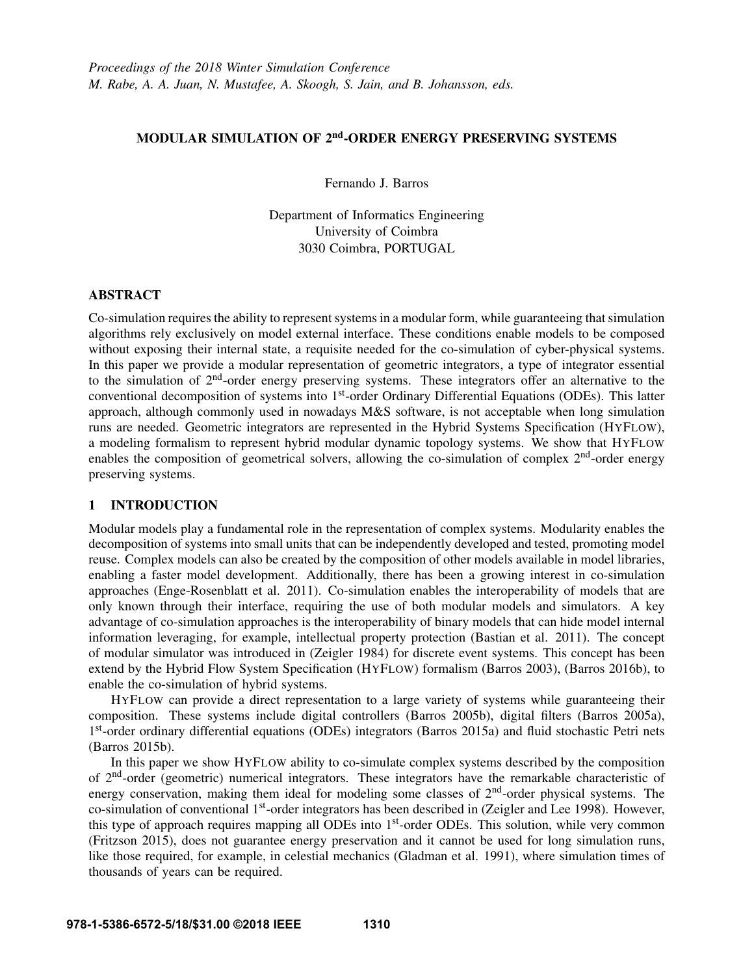# MODULAR SIMULATION OF 2<sup>nd</sup>-ORDER ENERGY PRESERVING SYSTEMS

Fernando J. Barros

Department of Informatics Engineering University of Coimbra 3030 Coimbra, PORTUGAL

# ABSTRACT

Co-simulation requires the ability to represent systems in a modular form, while guaranteeing that simulation algorithms rely exclusively on model external interface. These conditions enable models to be composed without exposing their internal state, a requisite needed for the co-simulation of cyber-physical systems. In this paper we provide a modular representation of geometric integrators, a type of integrator essential to the simulation of 2<sup>nd</sup>-order energy preserving systems. These integrators offer an alternative to the conventional decomposition of systems into 1st-order Ordinary Differential Equations (ODEs). This latter approach, although commonly used in nowadays M&S software, is not acceptable when long simulation runs are needed. Geometric integrators are represented in the Hybrid Systems Specification (HYFLOW), a modeling formalism to represent hybrid modular dynamic topology systems. We show that HYFLOW enables the composition of geometrical solvers, allowing the co-simulation of complex  $2<sup>nd</sup>$ -order energy preserving systems.

# 1 INTRODUCTION

Modular models play a fundamental role in the representation of complex systems. Modularity enables the decomposition of systems into small units that can be independently developed and tested, promoting model reuse. Complex models can also be created by the composition of other models available in model libraries, enabling a faster model development. Additionally, there has been a growing interest in co-simulation approaches (Enge-Rosenblatt et al. 2011). Co-simulation enables the interoperability of models that are only known through their interface, requiring the use of both modular models and simulators. A key advantage of co-simulation approaches is the interoperability of binary models that can hide model internal information leveraging, for example, intellectual property protection (Bastian et al. 2011). The concept of modular simulator was introduced in (Zeigler 1984) for discrete event systems. This concept has been extend by the Hybrid Flow System Specification (HYFLOW) formalism (Barros 2003), (Barros 2016b), to enable the co-simulation of hybrid systems.

HYFLOW can provide a direct representation to a large variety of systems while guaranteeing their composition. These systems include digital controllers (Barros 2005b), digital filters (Barros 2005a), 1<sup>st</sup>-order ordinary differential equations (ODEs) integrators (Barros 2015a) and fluid stochastic Petri nets (Barros 2015b).

In this paper we show HYFLOW ability to co-simulate complex systems described by the composition of 2nd-order (geometric) numerical integrators. These integrators have the remarkable characteristic of energy conservation, making them ideal for modeling some classes of  $2<sup>nd</sup>$ -order physical systems. The co-simulation of conventional 1<sup>st</sup>-order integrators has been described in (Zeigler and Lee 1998). However, this type of approach requires mapping all ODEs into 1<sup>st</sup>-order ODEs. This solution, while very common (Fritzson 2015), does not guarantee energy preservation and it cannot be used for long simulation runs, like those required, for example, in celestial mechanics (Gladman et al. 1991), where simulation times of thousands of years can be required.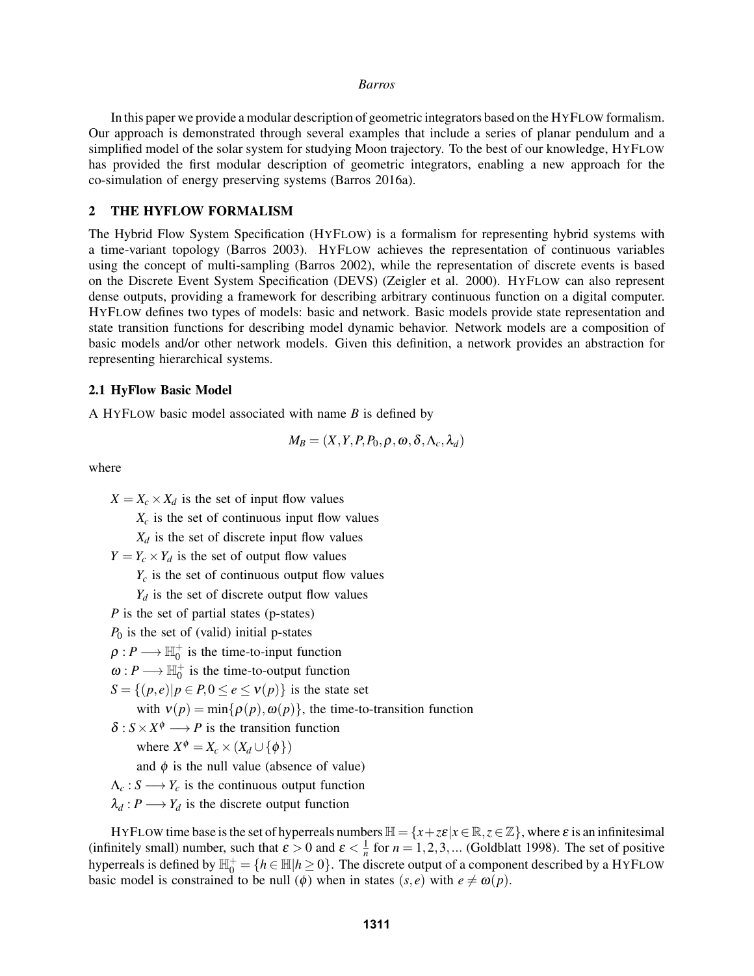In this paper we provide a modular description of geometric integrators based on the HYFLOW formalism. Our approach is demonstrated through several examples that include a series of planar pendulum and a simplified model of the solar system for studying Moon trajectory. To the best of our knowledge, HYFLOW has provided the first modular description of geometric integrators, enabling a new approach for the co-simulation of energy preserving systems (Barros 2016a).

### 2 THE HYFLOW FORMALISM

The Hybrid Flow System Specification (HYFLOW) is a formalism for representing hybrid systems with a time-variant topology (Barros 2003). HYFLOW achieves the representation of continuous variables using the concept of multi-sampling (Barros 2002), while the representation of discrete events is based on the Discrete Event System Specification (DEVS) (Zeigler et al. 2000). HYFLOW can also represent dense outputs, providing a framework for describing arbitrary continuous function on a digital computer. HYFLOW defines two types of models: basic and network. Basic models provide state representation and state transition functions for describing model dynamic behavior. Network models are a composition of basic models and/or other network models. Given this definition, a network provides an abstraction for representing hierarchical systems.

### 2.1 HyFlow Basic Model

A HYFLOW basic model associated with name *B* is defined by

$$
M_B = (X, Y, P, P_0, \rho, \omega, \delta, \Lambda_c, \lambda_d)
$$

where

 $X = X_c \times X_d$  is the set of input flow values

 $X_c$  is the set of continuous input flow values

 $X_d$  is the set of discrete input flow values

 $Y = Y_c \times Y_d$  is the set of output flow values

 $Y_c$  is the set of continuous output flow values

 $Y_d$  is the set of discrete output flow values

*P* is the set of partial states (p-states)

 $P_0$  is the set of (valid) initial p-states

 $\rho: P \longrightarrow \mathbb{H}_0^+$  is the time-to-input function

 $\omega: P \longrightarrow \mathbb{H}_0^+$  is the time-to-output function

 $S = \{(p, e) | p \in P, 0 \le e \le v(p)\}\$ is the state set

with  $v(p) = min\{\rho(p), \omega(p)\}\$ , the time-to-transition function

 $\delta$ :  $S \times X^{\phi} \longrightarrow P$  is the transition function

where  $X^{\phi} = X_c \times (X_d \cup {\phi})$ 

and  $\phi$  is the null value (absence of value)

 $\Lambda_c$ :  $S \longrightarrow Y_c$  is the continuous output function

 $\lambda_d : P \longrightarrow Y_d$  is the discrete output function

HYFLOW time base is the set of hyperreals numbers  $\mathbb{H} = \{x + z\epsilon | x \in \mathbb{R}, z \in \mathbb{Z}\}$ , where  $\varepsilon$  is an infinitesimal (infinitely small) number, such that  $\varepsilon > 0$  and  $\varepsilon < \frac{1}{n}$  for  $n = 1, 2, 3, ...$  (Goldblatt 1998). The set of positive hyperreals is defined by  $\mathbb{H}_0^+ = \{h \in \mathbb{H} | h \ge 0\}$ . The discrete output of a component described by a HYFLOW basic model is constrained to be null ( $\phi$ ) when in states (*s*, *e*) with  $e \neq \omega(p)$ .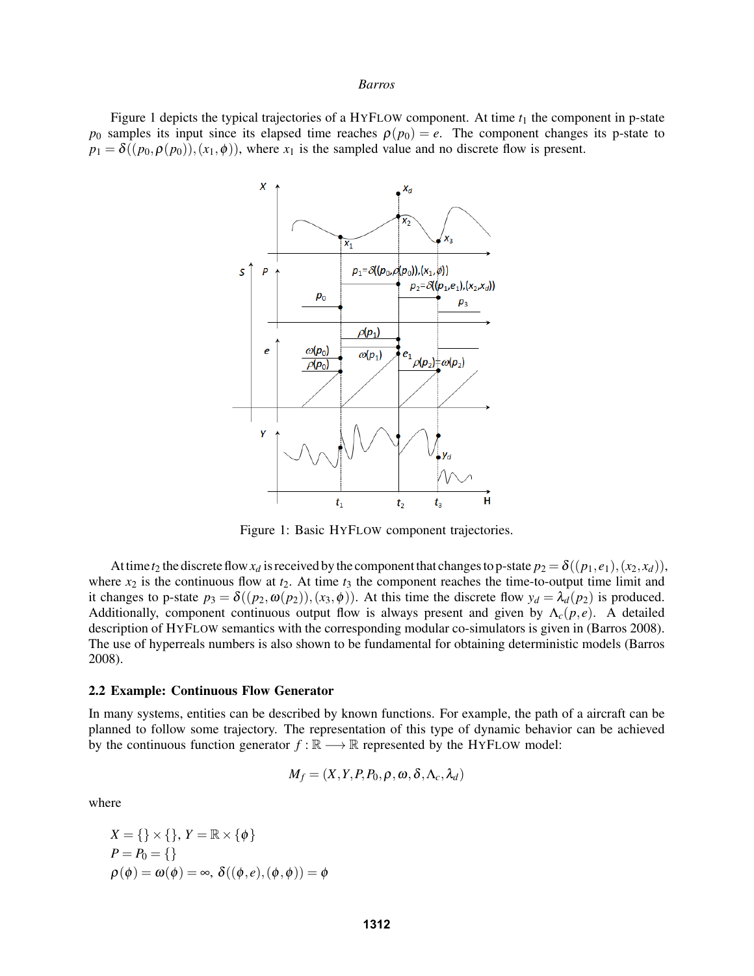Figure 1 depicts the typical trajectories of a HYFLOW component. At time  $t_1$  the component in p-state *p*<sub>0</sub> samples its input since its elapsed time reaches  $\rho(p_0) = e$ . The component changes its p-state to  $p_1 = \delta((p_0, \rho(p_0)), (x_1, \phi))$ , where  $x_1$  is the sampled value and no discrete flow is present.



Figure 1: Basic HYFLOW component trajectories.

At time  $t_2$  the discrete flow  $x_d$  is received by the component that changes to p-state  $p_2 = \delta((p_1, e_1), (x_2, x_d))$ , where  $x_2$  is the continuous flow at  $t_2$ . At time  $t_3$  the component reaches the time-to-output time limit and it changes to p-state  $p_3 = \delta((p_2, \omega(p_2)), (x_3, \phi))$ . At this time the discrete flow  $y_d = \lambda_d(p_2)$  is produced. Additionally, component continuous output flow is always present and given by  $\Lambda_c(p,e)$ . A detailed description of HYFLOW semantics with the corresponding modular co-simulators is given in (Barros 2008). The use of hyperreals numbers is also shown to be fundamental for obtaining deterministic models (Barros 2008).

# 2.2 Example: Continuous Flow Generator

In many systems, entities can be described by known functions. For example, the path of a aircraft can be planned to follow some trajectory. The representation of this type of dynamic behavior can be achieved by the continuous function generator  $f : \mathbb{R} \longrightarrow \mathbb{R}$  represented by the HYFLOW model:

$$
M_f = (X, Y, P, P_0, \rho, \omega, \delta, \Lambda_c, \lambda_d)
$$

where

$$
X = \{\} \times \{\}, Y = \mathbb{R} \times \{\phi\}
$$
  
\n
$$
P = P_0 = \{\}
$$
  
\n
$$
\rho(\phi) = \omega(\phi) = \infty, \ \delta((\phi, e), (\phi, \phi)) = \phi
$$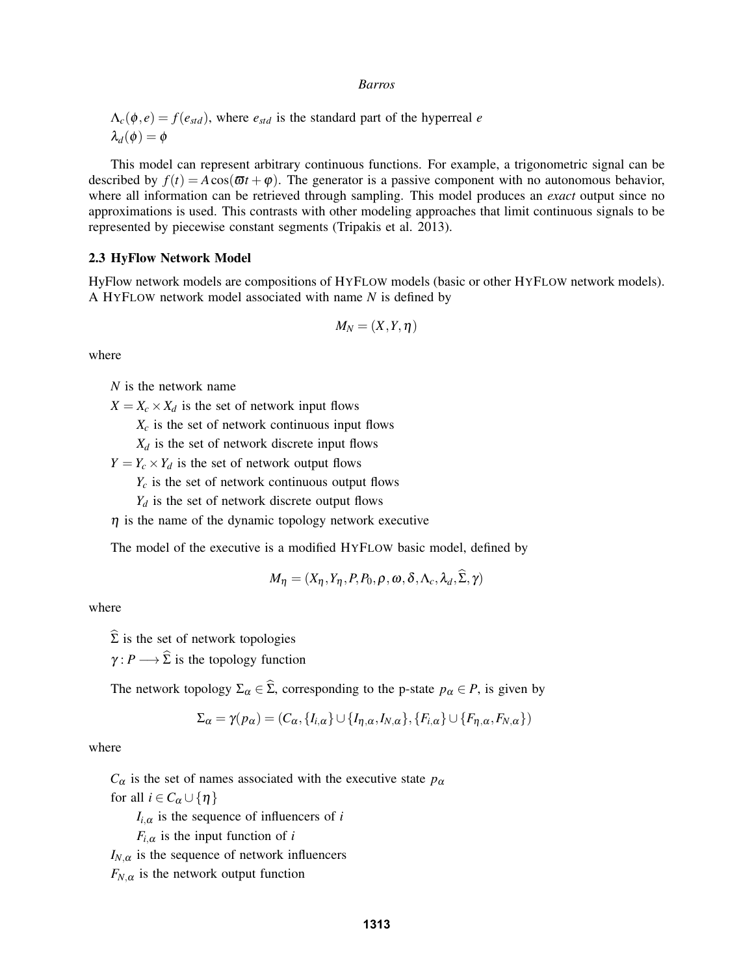$\Lambda_c(\phi, e) = f(e_{std})$ , where  $e_{std}$  is the standard part of the hyperreal *e*  $\lambda_d(\phi) = \phi$ 

This model can represent arbitrary continuous functions. For example, a trigonometric signal can be described by  $f(t) = A \cos(\omega t + \varphi)$ . The generator is a passive component with no autonomous behavior, where all information can be retrieved through sampling. This model produces an *exact* output since no approximations is used. This contrasts with other modeling approaches that limit continuous signals to be represented by piecewise constant segments (Tripakis et al. 2013).

### 2.3 HyFlow Network Model

HyFlow network models are compositions of HYFLOW models (basic or other HYFLOW network models). A HYFLOW network model associated with name *N* is defined by

$$
M_N=(X,Y,\eta)
$$

where

*N* is the network name

 $X = X_c \times X_d$  is the set of network input flows

- $X_c$  is the set of network continuous input flows
- $X_d$  is the set of network discrete input flows
- $Y = Y_c \times Y_d$  is the set of network output flows
	- $Y_c$  is the set of network continuous output flows
	- $Y_d$  is the set of network discrete output flows
- $\eta$  is the name of the dynamic topology network executive

The model of the executive is a modified HYFLOW basic model, defined by

$$
M_{\eta} = (X_{\eta}, Y_{\eta}, P, P_0, \rho, \omega, \delta, \Lambda_c, \lambda_d, \Sigma, \gamma)
$$

where

 $\widehat{\Sigma}$  is the set of network topologies

 $\gamma: P \longrightarrow \widehat{\Sigma}$  is the topology function

The network topology  $\Sigma_{\alpha} \in \widehat{\Sigma}$ , corresponding to the p-state  $p_{\alpha} \in P$ , is given by

$$
\Sigma_{\alpha} = \gamma(p_{\alpha}) = (C_{\alpha}, \{I_{i,\alpha}\} \cup \{I_{\eta,\alpha}, I_{N,\alpha}\}, \{F_{i,\alpha}\} \cup \{F_{\eta,\alpha}, F_{N,\alpha}\})
$$

where

 $C_{\alpha}$  is the set of names associated with the executive state  $p_{\alpha}$ for all  $i \in C_\alpha \cup \{\eta\}$ 

 $I_{i,\alpha}$  is the sequence of influencers of *i* 

 $F_{i,\alpha}$  is the input function of *i* 

 $I_{N,\alpha}$  is the sequence of network influencers

 $F_{N,\alpha}$  is the network output function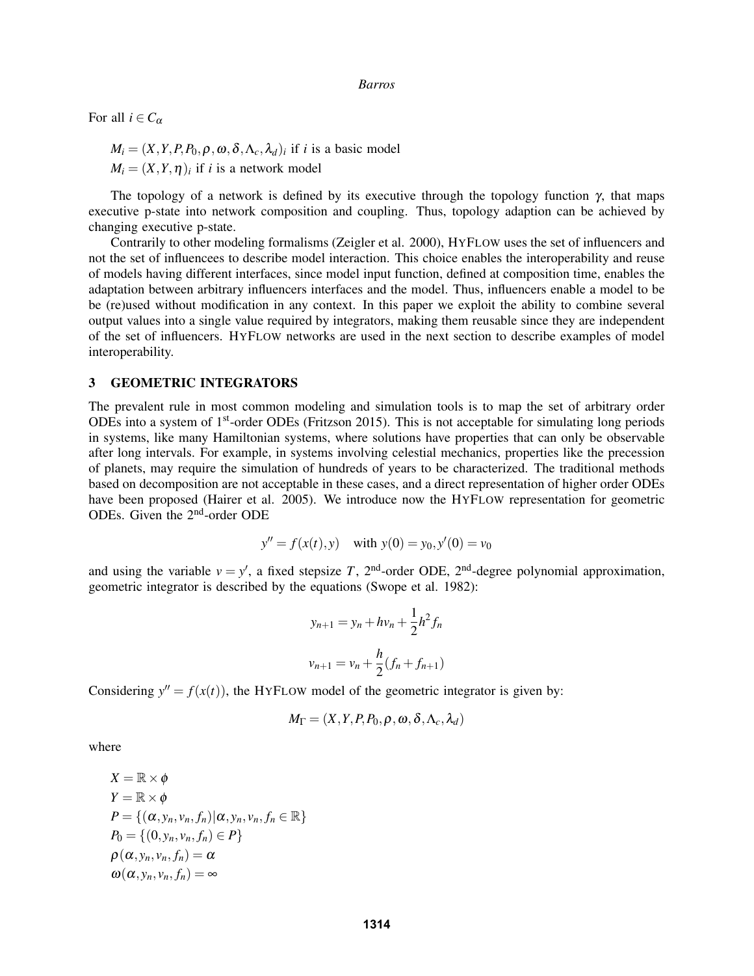For all  $i \in C_\alpha$ 

 $M_i = (X, Y, P, P_0, \rho, \omega, \delta, \Lambda_c, \lambda_d)_i$  if *i* is a basic model  $M_i = (X, Y, \eta)_i$  if *i* is a network model

The topology of a network is defined by its executive through the topology function  $\gamma$ , that maps executive p-state into network composition and coupling. Thus, topology adaption can be achieved by changing executive p-state.

Contrarily to other modeling formalisms (Zeigler et al. 2000), HYFLOW uses the set of influencers and not the set of influencees to describe model interaction. This choice enables the interoperability and reuse of models having different interfaces, since model input function, defined at composition time, enables the adaptation between arbitrary influencers interfaces and the model. Thus, influencers enable a model to be be (re)used without modification in any context. In this paper we exploit the ability to combine several output values into a single value required by integrators, making them reusable since they are independent of the set of influencers. HYFLOW networks are used in the next section to describe examples of model interoperability.

# 3 GEOMETRIC INTEGRATORS

The prevalent rule in most common modeling and simulation tools is to map the set of arbitrary order ODEs into a system of  $1<sup>st</sup>$ -order ODEs (Fritzson 2015). This is not acceptable for simulating long periods in systems, like many Hamiltonian systems, where solutions have properties that can only be observable after long intervals. For example, in systems involving celestial mechanics, properties like the precession of planets, may require the simulation of hundreds of years to be characterized. The traditional methods based on decomposition are not acceptable in these cases, and a direct representation of higher order ODEs have been proposed (Hairer et al. 2005). We introduce now the HYFLOW representation for geometric ODEs. Given the 2nd-order ODE

$$
y'' = f(x(t), y)
$$
 with  $y(0) = y_0, y'(0) = v_0$ 

and using the variable  $v = y'$ , a fixed stepsize *T*, 2<sup>nd</sup>-order ODE, 2<sup>nd</sup>-degree polynomial approximation, geometric integrator is described by the equations (Swope et al. 1982):

$$
y_{n+1} = y_n + hv_n + \frac{1}{2}h^2 f_n
$$
  

$$
v_{n+1} = v_n + \frac{h}{2}(f_n + f_{n+1})
$$

Considering  $y'' = f(x(t))$ , the HYFLOW model of the geometric integrator is given by:

$$
M_{\Gamma} = (X, Y, P, P_0, \rho, \omega, \delta, \Lambda_c, \lambda_d)
$$

where

$$
X = \mathbb{R} \times \phi
$$
  
\n
$$
Y = \mathbb{R} \times \phi
$$
  
\n
$$
P = \{(\alpha, y_n, v_n, f_n) | \alpha, y_n, v_n, f_n \in \mathbb{R}\}
$$
  
\n
$$
P_0 = \{ (0, y_n, v_n, f_n) \in P \}
$$
  
\n
$$
\rho(\alpha, y_n, v_n, f_n) = \alpha
$$
  
\n
$$
\omega(\alpha, y_n, v_n, f_n) = \infty
$$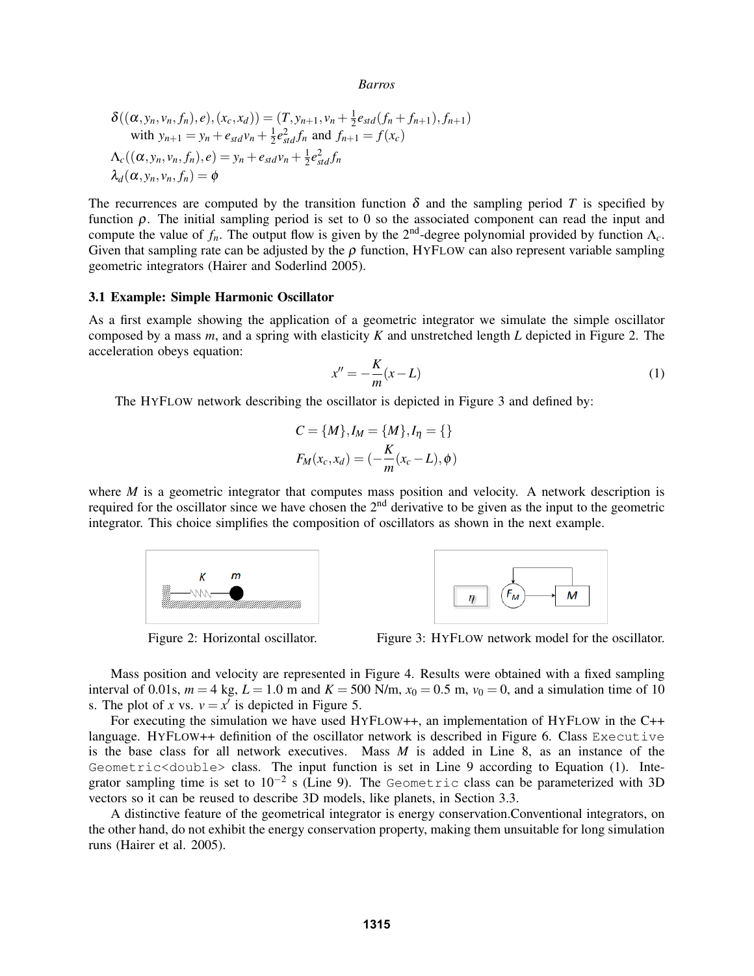$$
\delta((\alpha, y_n, v_n, f_n), e), (x_c, x_d)) = (T, y_{n+1}, v_n + \frac{1}{2}e_{std}(f_n + f_{n+1}), f_{n+1})
$$
  
with  $y_{n+1} = y_n + e_{std}v_n + \frac{1}{2}e_{std}^2f_n$  and  $f_{n+1} = f(x_c)$   

$$
\Delta_c((\alpha, y_n, v_n, f_n), e) = y_n + e_{std}v_n + \frac{1}{2}e_{std}^2f_n
$$
  

$$
\lambda_d(\alpha, y_n, v_n, f_n) = \phi
$$

The recurrences are computed by the transition function  $\delta$  and the sampling period *T* is specified by function ρ. The initial sampling period is set to 0 so the associated component can read the input and compute the value of  $f_n$ . The output flow is given by the 2<sup>nd</sup>-degree polynomial provided by function  $\Lambda_c$ . Given that sampling rate can be adjusted by the  $\rho$  function, HYFLOW can also represent variable sampling geometric integrators (Hairer and Soderlind 2005).

### 3.1 Example: Simple Harmonic Oscillator

As a first example showing the application of a geometric integrator we simulate the simple oscillator composed by a mass *m*, and a spring with elasticity *K* and unstretched length *L* depicted in Figure 2. The acceleration obeys equation:

$$
x'' = -\frac{K}{m}(x - L) \tag{1}
$$

The HYFLOW network describing the oscillator is depicted in Figure 3 and defined by:

$$
C = \{M\}, I_M = \{M\}, I_\eta = \{\}
$$

$$
F_M(x_c, x_d) = (-\frac{K}{m}(x_c - L), \phi)
$$

where *M* is a geometric integrator that computes mass position and velocity. A network description is required for the oscillator since we have chosen the 2nd derivative to be given as the input to the geometric integrator. This choice simplifies the composition of oscillators as shown in the next example.





Figure 2: Horizontal oscillator. Figure 3: HYFLOW network model for the oscillator.

Mass position and velocity are represented in Figure 4. Results were obtained with a fixed sampling interval of 0.01s,  $m = 4$  kg,  $L = 1.0$  m and  $K = 500$  N/m,  $x_0 = 0.5$  m,  $v_0 = 0$ , and a simulation time of 10 s. The plot of *x* vs.  $v = x^i$  is depicted in Figure 5.

For executing the simulation we have used HYFLOW++, an implementation of HYFLOW in the C++ language. HYFLOW++ definition of the oscillator network is described in Figure 6. Class Executive is the base class for all network executives. Mass *M* is added in Line 8, as an instance of the Geometric<double> class. The input function is set in Line 9 according to Equation (1). Integrator sampling time is set to  $10^{-2}$  s (Line 9). The Geometric class can be parameterized with 3D vectors so it can be reused to describe 3D models, like planets, in Section 3.3.

A distinctive feature of the geometrical integrator is energy conservation.Conventional integrators, on the other hand, do not exhibit the energy conservation property, making them unsuitable for long simulation runs (Hairer et al. 2005).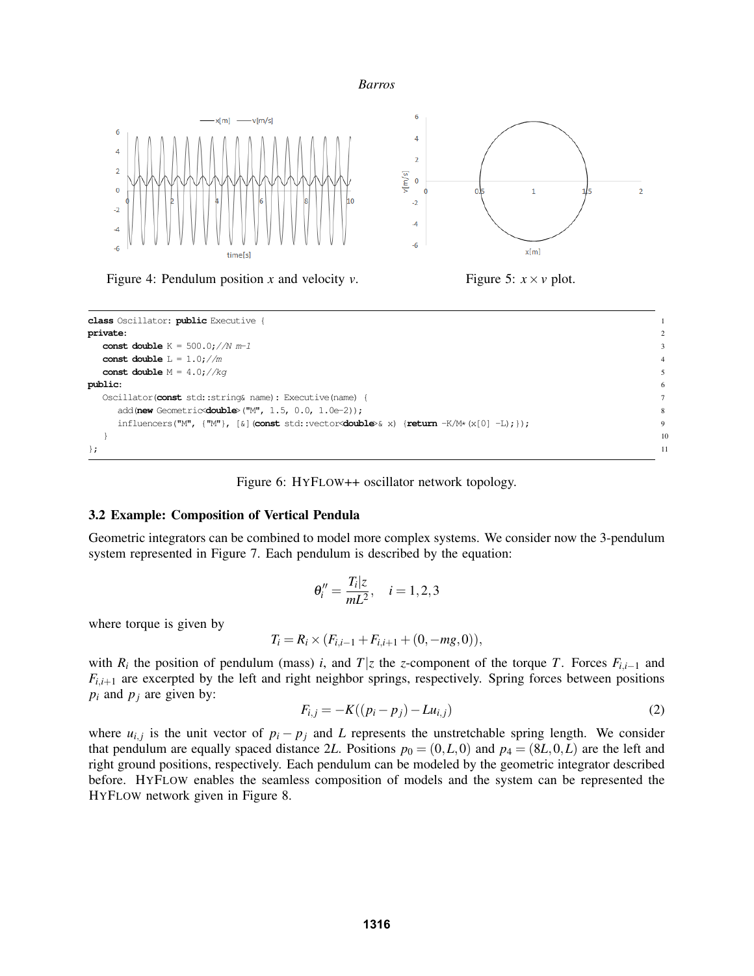



Figure 4: Pendulum position *x* and velocity *v*. Figure 5:  $x \times y$  plot.



Figure 6: HYFLOW++ oscillator network topology.

# 3.2 Example: Composition of Vertical Pendula

Geometric integrators can be combined to model more complex systems. We consider now the 3-pendulum system represented in Figure 7. Each pendulum is described by the equation:

$$
\theta''_i = \frac{T_i | z}{mL^2}, \quad i = 1, 2, 3
$$

where torque is given by

$$
T_i = R_i \times (F_{i,i-1} + F_{i,i+1} + (0, -mg, 0)),
$$

with  $R_i$  the position of pendulum (mass) *i*, and  $T|z$  the *z*-component of the torque *T*. Forces  $F_{i,i-1}$  and  $F_{i,i+1}$  are excerpted by the left and right neighbor springs, respectively. Spring forces between positions  $p_i$  and  $p_j$  are given by:

$$
F_{i,j} = -K((p_i - p_j) - Lu_{i,j})
$$
\n(2)

where  $u_{i,j}$  is the unit vector of  $p_i - p_j$  and *L* represents the unstretchable spring length. We consider that pendulum are equally spaced distance 2L. Positions  $p_0 = (0, L, 0)$  and  $p_4 = (8L, 0, L)$  are the left and right ground positions, respectively. Each pendulum can be modeled by the geometric integrator described before. HYFLOW enables the seamless composition of models and the system can be represented the HYFLOW network given in Figure 8.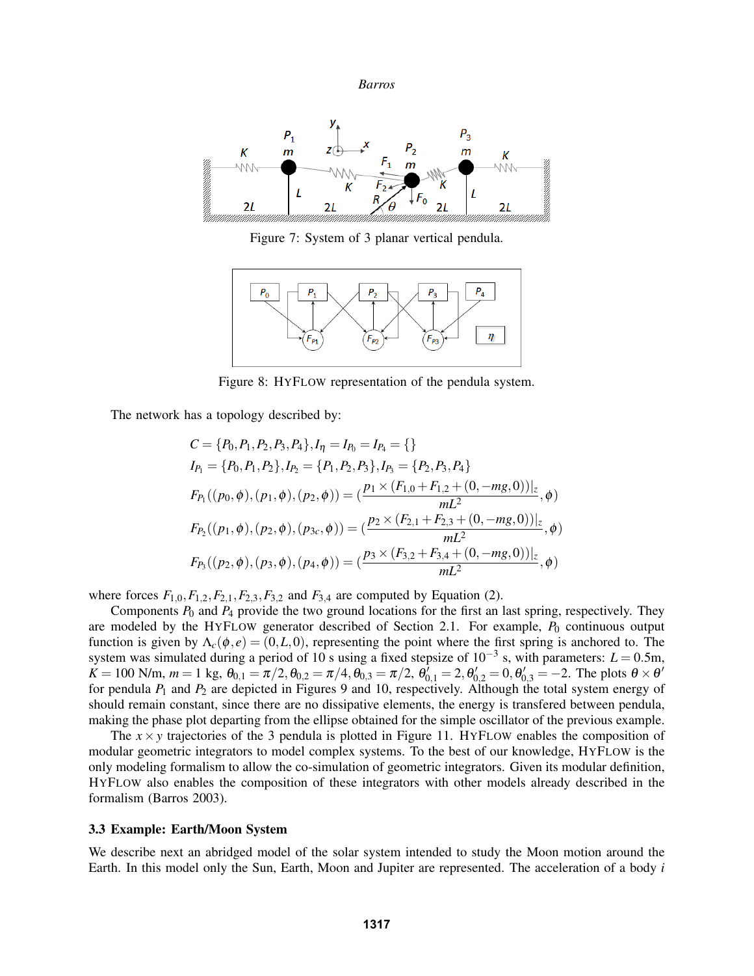

Figure 7: System of 3 planar vertical pendula.



Figure 8: HYFLOW representation of the pendula system.

The network has a topology described by:

$$
C = \{P_0, P_1, P_2, P_3, P_4\}, I_{\eta} = I_{P_0} = I_{P_4} = \{\}
$$
  
\n
$$
I_{P_1} = \{P_0, P_1, P_2\}, I_{P_2} = \{P_1, P_2, P_3\}, I_{P_3} = \{P_2, P_3, P_4\}
$$
  
\n
$$
F_{P_1}((p_0, \phi), (p_1, \phi), (p_2, \phi)) = \left(\frac{p_1 \times (F_{1,0} + F_{1,2} + (0, -mg, 0))|_z}{mL^2}, \phi\right)
$$
  
\n
$$
F_{P_2}((p_1, \phi), (p_2, \phi), (p_{3c}, \phi)) = \left(\frac{p_2 \times (F_{2,1} + F_{2,3} + (0, -mg, 0))|_z}{mL^2}, \phi\right)
$$
  
\n
$$
F_{P_3}((p_2, \phi), (p_3, \phi), (p_4, \phi)) = \left(\frac{p_3 \times (F_{3,2} + F_{3,4} + (0, -mg, 0))|_z}{mL^2}, \phi\right)
$$

where forces  $F_{1,0}, F_{1,2}, F_{2,1}, F_{2,3}, F_{3,2}$  and  $F_{3,4}$  are computed by Equation (2).

Components  $P_0$  and  $P_4$  provide the two ground locations for the first an last spring, respectively. They are modeled by the HYFLOW generator described of Section 2.1. For example,  $P_0$  continuous output function is given by  $\Lambda_c(\phi, e) = (0, L, 0)$ , representing the point where the first spring is anchored to. The system was simulated during a period of 10 s using a fixed stepsize of  $10^{-3}$  s, with parameters:  $L = 0.5$ m,  $K = 100$  N/m,  $m = 1$  kg,  $\theta_{0,1} = \pi/2, \theta_{0,2} = \pi/4, \theta_{0,3} = \pi/2, \theta_{0,1} = 2, \theta'_{0,2} = 0, \theta'_{0,3} = -2$ . The plots  $\theta \times \theta'$ for pendula *P*<sup>1</sup> and *P*<sup>2</sup> are depicted in Figures 9 and 10, respectively. Although the total system energy of should remain constant, since there are no dissipative elements, the energy is transfered between pendula, making the phase plot departing from the ellipse obtained for the simple oscillator of the previous example.

The  $x \times y$  trajectories of the 3 pendula is plotted in Figure 11. HYFLOW enables the composition of modular geometric integrators to model complex systems. To the best of our knowledge, HYFLOW is the only modeling formalism to allow the co-simulation of geometric integrators. Given its modular definition, HYFLOW also enables the composition of these integrators with other models already described in the formalism (Barros 2003).

### 3.3 Example: Earth/Moon System

We describe next an abridged model of the solar system intended to study the Moon motion around the Earth. In this model only the Sun, Earth, Moon and Jupiter are represented. The acceleration of a body *i*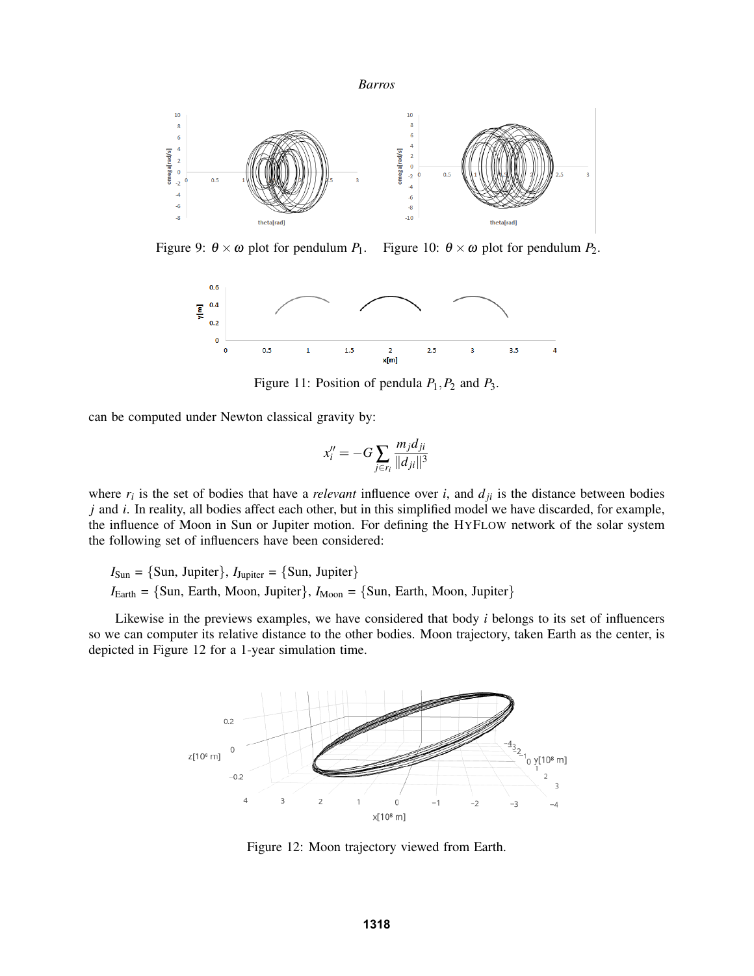



Figure 9:  $\theta \times \omega$  plot for pendulum *P*<sub>1</sub>. Figure 10:  $\theta \times \omega$  plot for pendulum *P*<sub>2</sub>.



Figure 11: Position of pendula *P*1,*P*<sup>2</sup> and *P*3.

can be computed under Newton classical gravity by:

$$
x_i'' = -G \sum_{j \in r_i} \frac{m_j d_{ji}}{\|d_{ji}\|^3}
$$

where  $r_i$  is the set of bodies that have a *relevant* influence over *i*, and  $d_{ji}$  is the distance between bodies *j* and *i*. In reality, all bodies affect each other, but in this simplified model we have discarded, for example, the influence of Moon in Sun or Jupiter motion. For defining the HYFLOW network of the solar system the following set of influencers have been considered:

 $I_{\text{Sun}} = \{\text{Sun}, \text{ Jupiter}\}, I_{\text{Jupiter}} = \{\text{Sun}, \text{ Jupiter}\}$  $I_{\text{Earth}} = \{\text{Sun, Earth, Moon, Jupiter}\}, I_{\text{Moon}} = \{\text{Sun, Earth, Moon, Jupiter}\}$ 

Likewise in the previews examples, we have considered that body *i* belongs to its set of influencers so we can computer its relative distance to the other bodies. Moon trajectory, taken Earth as the center, is depicted in Figure 12 for a 1-year simulation time.



Figure 12: Moon trajectory viewed from Earth.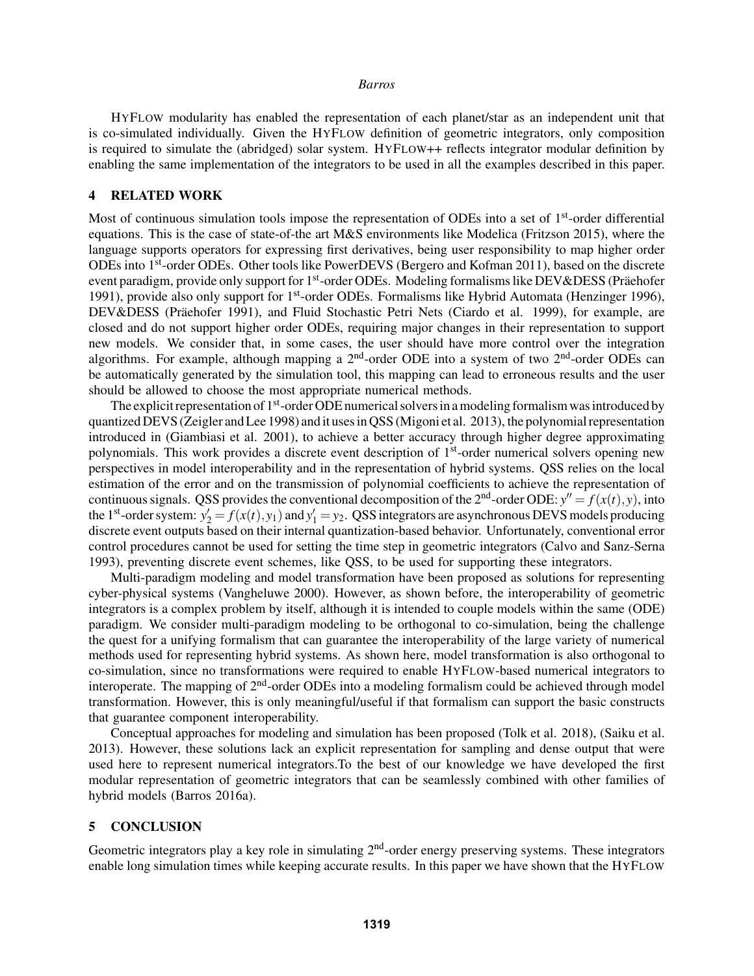HYFLOW modularity has enabled the representation of each planet/star as an independent unit that is co-simulated individually. Given the HYFLOW definition of geometric integrators, only composition is required to simulate the (abridged) solar system. HYFLOW++ reflects integrator modular definition by enabling the same implementation of the integrators to be used in all the examples described in this paper.

# 4 RELATED WORK

Most of continuous simulation tools impose the representation of ODEs into a set of  $1<sup>st</sup>$ -order differential equations. This is the case of state-of-the art M&S environments like Modelica (Fritzson 2015), where the language supports operators for expressing first derivatives, being user responsibility to map higher order ODEs into 1st-order ODEs. Other tools like PowerDEVS (Bergero and Kofman 2011), based on the discrete event paradigm, provide only support for 1<sup>st</sup>-order ODEs. Modeling formalisms like DEV&DESS (Präehofer 1991), provide also only support for 1<sup>st</sup>-order ODEs. Formalisms like Hybrid Automata (Henzinger 1996), DEV&DESS (Präehofer 1991), and Fluid Stochastic Petri Nets (Ciardo et al. 1999), for example, are closed and do not support higher order ODEs, requiring major changes in their representation to support new models. We consider that, in some cases, the user should have more control over the integration algorithms. For example, although mapping a  $2<sup>nd</sup>$ -order ODE into a system of two  $2<sup>nd</sup>$ -order ODEs can be automatically generated by the simulation tool, this mapping can lead to erroneous results and the user should be allowed to choose the most appropriate numerical methods.

The explicit representation of  $1<sup>st</sup>$ -order ODE numerical solvers in a modeling formalism was introduced by quantized DEVS (Zeigler and Lee 1998) and it uses in QSS (Migoni et al. 2013), the polynomial representation introduced in (Giambiasi et al. 2001), to achieve a better accuracy through higher degree approximating polynomials. This work provides a discrete event description of 1st-order numerical solvers opening new perspectives in model interoperability and in the representation of hybrid systems. QSS relies on the local estimation of the error and on the transmission of polynomial coefficients to achieve the representation of continuous signals. QSS provides the conventional decomposition of the 2<sup>nd</sup>-order ODE:  $y'' = f(x(t), y)$ , into the 1<sup>st</sup>-order system:  $y'_2 = f(x(t), y_1)$  and  $y'_1 = y_2$ . QSS integrators are asynchronous DEVS models producing discrete event outputs based on their internal quantization-based behavior. Unfortunately, conventional error control procedures cannot be used for setting the time step in geometric integrators (Calvo and Sanz-Serna 1993), preventing discrete event schemes, like QSS, to be used for supporting these integrators.

Multi-paradigm modeling and model transformation have been proposed as solutions for representing cyber-physical systems (Vangheluwe 2000). However, as shown before, the interoperability of geometric integrators is a complex problem by itself, although it is intended to couple models within the same (ODE) paradigm. We consider multi-paradigm modeling to be orthogonal to co-simulation, being the challenge the quest for a unifying formalism that can guarantee the interoperability of the large variety of numerical methods used for representing hybrid systems. As shown here, model transformation is also orthogonal to co-simulation, since no transformations were required to enable HYFLOW-based numerical integrators to interoperate. The mapping of 2<sup>nd</sup>-order ODEs into a modeling formalism could be achieved through model transformation. However, this is only meaningful/useful if that formalism can support the basic constructs that guarantee component interoperability.

Conceptual approaches for modeling and simulation has been proposed (Tolk et al. 2018), (Saiku et al. 2013). However, these solutions lack an explicit representation for sampling and dense output that were used here to represent numerical integrators.To the best of our knowledge we have developed the first modular representation of geometric integrators that can be seamlessly combined with other families of hybrid models (Barros 2016a).

# 5 CONCLUSION

Geometric integrators play a key role in simulating  $2<sup>nd</sup>$ -order energy preserving systems. These integrators enable long simulation times while keeping accurate results. In this paper we have shown that the HYFLOW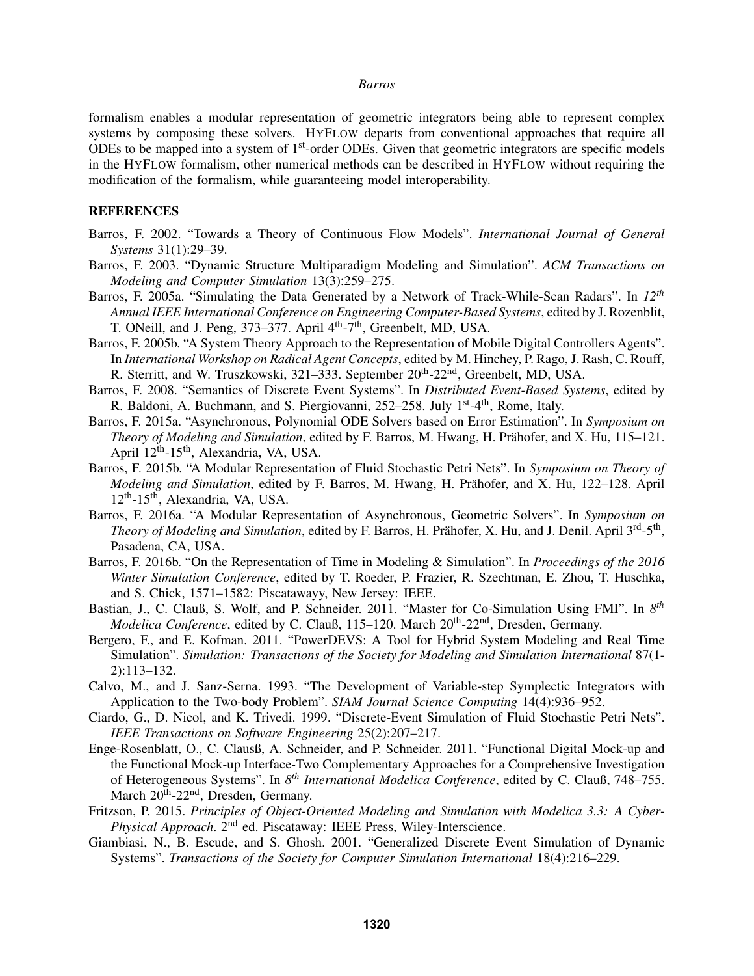formalism enables a modular representation of geometric integrators being able to represent complex systems by composing these solvers. HYFLOW departs from conventional approaches that require all ODEs to be mapped into a system of  $1<sup>st</sup>$ -order ODEs. Given that geometric integrators are specific models in the HYFLOW formalism, other numerical methods can be described in HYFLOW without requiring the modification of the formalism, while guaranteeing model interoperability.

### **REFERENCES**

- Barros, F. 2002. "Towards a Theory of Continuous Flow Models". *International Journal of General Systems* 31(1):29–39.
- Barros, F. 2003. "Dynamic Structure Multiparadigm Modeling and Simulation". *ACM Transactions on Modeling and Computer Simulation* 13(3):259–275.
- Barros, F. 2005a. "Simulating the Data Generated by a Network of Track-While-Scan Radars". In *12th Annual IEEE International Conference on Engineering Computer-Based Systems*, edited by J. Rozenblit, T. ONeill, and J. Peng, 373–377. April 4th-7th, Greenbelt, MD, USA.
- Barros, F. 2005b. "A System Theory Approach to the Representation of Mobile Digital Controllers Agents". In *International Workshop on Radical Agent Concepts*, edited by M. Hinchey, P. Rago, J. Rash, C. Rouff, R. Sterritt, and W. Truszkowski, 321–333. September 20<sup>th</sup>-22<sup>nd</sup>, Greenbelt, MD, USA.
- Barros, F. 2008. "Semantics of Discrete Event Systems". In *Distributed Event-Based Systems*, edited by R. Baldoni, A. Buchmann, and S. Piergiovanni,  $252-258$ . July  $1<sup>st</sup>-4<sup>th</sup>$ , Rome, Italy.
- Barros, F. 2015a. "Asynchronous, Polynomial ODE Solvers based on Error Estimation". In *Symposium on Theory of Modeling and Simulation*, edited by F. Barros, M. Hwang, H. Prähofer, and X. Hu, 115–121. April 12<sup>th</sup>-15<sup>th</sup>, Alexandria, VA, USA.
- Barros, F. 2015b. "A Modular Representation of Fluid Stochastic Petri Nets". In *Symposium on Theory of Modeling and Simulation*, edited by F. Barros, M. Hwang, H. Prähofer, and X. Hu, 122–128. April 12th-15th, Alexandria, VA, USA.
- Barros, F. 2016a. "A Modular Representation of Asynchronous, Geometric Solvers". In *Symposium on* Theory of Modeling and Simulation, edited by F. Barros, H. Prähofer, X. Hu, and J. Denil. April 3<sup>rd</sup>-5<sup>th</sup>, Pasadena, CA, USA.
- Barros, F. 2016b. "On the Representation of Time in Modeling & Simulation". In *Proceedings of the 2016 Winter Simulation Conference*, edited by T. Roeder, P. Frazier, R. Szechtman, E. Zhou, T. Huschka, and S. Chick, 1571–1582: Piscatawayy, New Jersey: IEEE.
- Bastian, J., C. Clauß, S. Wolf, and P. Schneider. 2011. "Master for Co-Simulation Using FMI". In 8<sup>th</sup> *Modelica Conference*, edited by C. Clauß, 115–120. March 20<sup>th</sup>-22<sup>nd</sup>, Dresden, Germany.
- Bergero, F., and E. Kofman. 2011. "PowerDEVS: A Tool for Hybrid System Modeling and Real Time Simulation". *Simulation: Transactions of the Society for Modeling and Simulation International* 87(1- 2):113–132.
- Calvo, M., and J. Sanz-Serna. 1993. "The Development of Variable-step Symplectic Integrators with Application to the Two-body Problem". *SIAM Journal Science Computing* 14(4):936–952.
- Ciardo, G., D. Nicol, and K. Trivedi. 1999. "Discrete-Event Simulation of Fluid Stochastic Petri Nets". *IEEE Transactions on Software Engineering* 25(2):207–217.
- Enge-Rosenblatt, O., C. Clausß, A. Schneider, and P. Schneider. 2011. "Functional Digital Mock-up and the Functional Mock-up Interface-Two Complementary Approaches for a Comprehensive Investigation of Heterogeneous Systems". In *8 th International Modelica Conference*, edited by C. Clauß, 748–755. March 20<sup>th</sup>-22<sup>nd</sup>, Dresden, Germany.
- Fritzson, P. 2015. *Principles of Object-Oriented Modeling and Simulation with Modelica 3.3: A Cyber-Physical Approach.* 2<sup>nd</sup> ed. Piscataway: IEEE Press, Wiley-Interscience.
- Giambiasi, N., B. Escude, and S. Ghosh. 2001. "Generalized Discrete Event Simulation of Dynamic Systems". *Transactions of the Society for Computer Simulation International* 18(4):216–229.